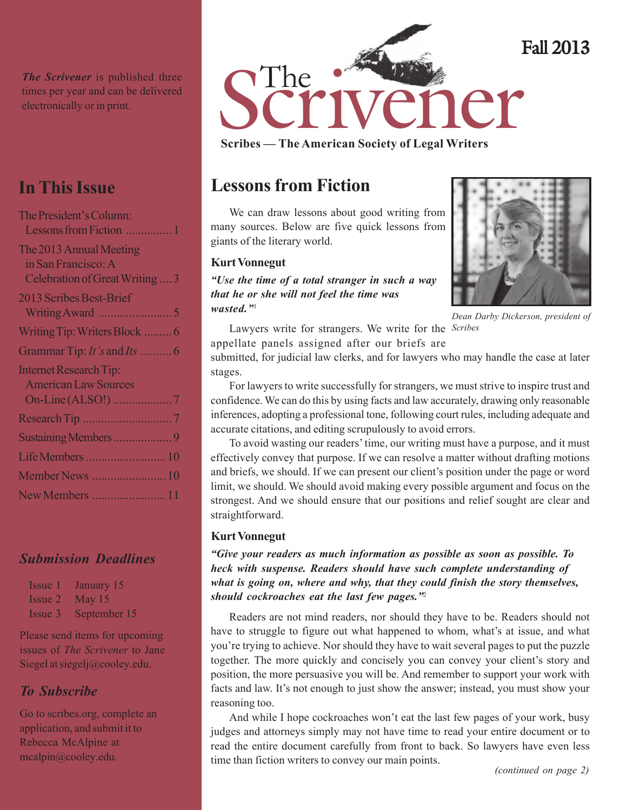*The Scrivener* is published three times per year and can be delivered

## **In This Issue**

| The President's Column:         |
|---------------------------------|
| Lessons from Fiction  1         |
| The 2013 Annual Meeting         |
| in San Francisco: A             |
| Celebration of Great Writing  3 |
| 2013 Scribes Best-Brief         |
|                                 |
| Writing Tip: Writers Block  6   |
| Grammar Tip: It's and Its  6    |
| <b>Internet Research Tip:</b>   |
| <b>American Law Sources</b>     |
|                                 |
|                                 |
|                                 |
| Life Members  10                |
| Member News  10                 |
|                                 |
| New Members  11                 |

### *Submission Deadlines*

| Issue 1 | January 15           |
|---------|----------------------|
|         | $Issue 2$ May 15     |
|         | Issue 3 September 15 |

Please send items for upcoming issues of *The Scrivener* to Jane Siegel at siegelj@cooley.edu.

### *To Subscribe*

Go to scribes.org, complete an application, and submit it to Rebecca McAlpine at mcalpin@cooley.edu.



**Scribes — The American Society of Legal Writers**

# **Lessons from Fiction**

We can draw lessons about good writing from many sources. Below are five quick lessons from giants of the literary world.

#### **Kurt Vonnegut**

*"Use the time of a total stranger in such a way that he or she will not feel the time was wasted."*<sup>1</sup>



*Dean Darby Dickerson, president of*

Lawyers write for strangers. We write for the *Scribes*appellate panels assigned after our briefs are

submitted, for judicial law clerks, and for lawyers who may handle the case at later stages.

For lawyers to write successfully for strangers, we must strive to inspire trust and confidence. We can do this by using facts and law accurately, drawing only reasonable inferences, adopting a professional tone, following court rules, including adequate and accurate citations, and editing scrupulously to avoid errors.

To avoid wasting our readers' time, our writing must have a purpose, and it must effectively convey that purpose. If we can resolve a matter without drafting motions and briefs, we should. If we can present our client's position under the page or word limit, we should. We should avoid making every possible argument and focus on the strongest. And we should ensure that our positions and relief sought are clear and straightforward.

#### **Kurt Vonnegut**

*"Give your readers as much information as possible as soon as possible. To heck with suspense. Readers should have such complete understanding of what is going on, where and why, that they could finish the story themselves, should cockroaches eat the last few pages."*<sup>2</sup>

Readers are not mind readers, nor should they have to be. Readers should not have to struggle to figure out what happened to whom, what's at issue, and what you're trying to achieve. Nor should they have to wait several pages to put the puzzle together. The more quickly and concisely you can convey your client's story and position, the more persuasive you will be. And remember to support your work with facts and law. It's not enough to just show the answer; instead, you must show your reasoning too.

And while I hope cockroaches won't eat the last few pages of your work, busy judges and attorneys simply may not have time to read your entire document or to read the entire document carefully from front to back. So lawyers have even less time than fiction writers to convey our main points.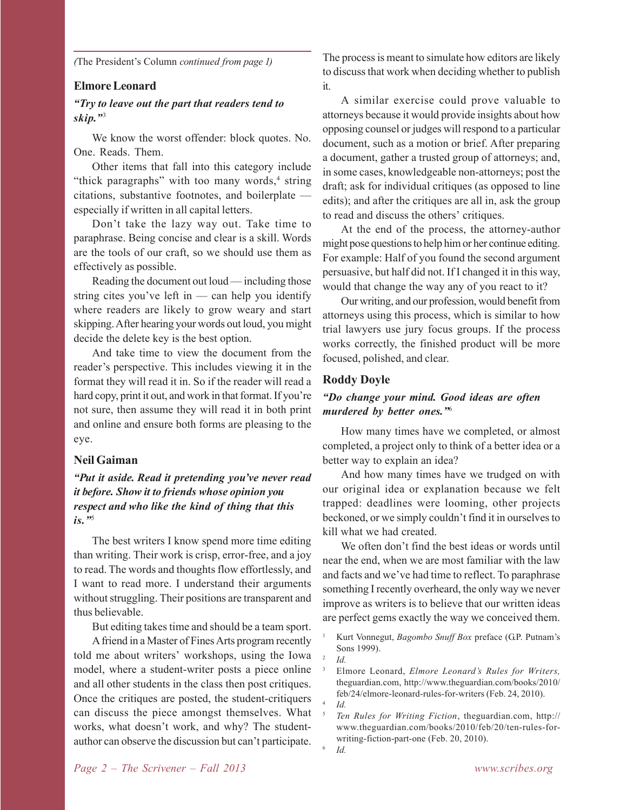*(*The President's Column *continued from page 1)*

#### **Elmore Leonard**

#### *"Try to leave out the part that readers tend to skip."*<sup>3</sup>

We know the worst offender: block quotes. No. One. Reads. Them.

Other items that fall into this category include "thick paragraphs" with too many words,<sup>4</sup> string citations, substantive footnotes, and boilerplate especially if written in all capital letters.

Don't take the lazy way out. Take time to paraphrase. Being concise and clear is a skill. Words are the tools of our craft, so we should use them as effectively as possible.

Reading the document out loud — including those string cites you've left in  $-$  can help you identify where readers are likely to grow weary and start skipping. After hearing your words out loud, you might decide the delete key is the best option.

And take time to view the document from the reader's perspective. This includes viewing it in the format they will read it in. So if the reader will read a hard copy, print it out, and work in that format. If you're not sure, then assume they will read it in both print and online and ensure both forms are pleasing to the eye.

#### **Neil Gaiman**

#### *"Put it aside. Read it pretending you've never read it before. Show it to friends whose opinion you respect and who like the kind of thing that this is."*<sup>5</sup>

The best writers I know spend more time editing than writing. Their work is crisp, error-free, and a joy to read. The words and thoughts flow effortlessly, and I want to read more. I understand their arguments without struggling. Their positions are transparent and thus believable.

But editing takes time and should be a team sport.

A friend in a Master of Fines Arts program recently told me about writers' workshops, using the Iowa model, where a student-writer posts a piece online and all other students in the class then post critiques. Once the critiques are posted, the student-critiquers can discuss the piece amongst themselves. What works, what doesn't work, and why? The studentauthor can observe the discussion but can't participate.

The process is meant to simulate how editors are likely to discuss that work when deciding whether to publish it.

A similar exercise could prove valuable to attorneys because it would provide insights about how opposing counsel or judges will respond to a particular document, such as a motion or brief. After preparing a document, gather a trusted group of attorneys; and, in some cases, knowledgeable non-attorneys; post the draft; ask for individual critiques (as opposed to line edits); and after the critiques are all in, ask the group to read and discuss the others' critiques.

At the end of the process, the attorney-author might pose questions to help him or her continue editing. For example: Half of you found the second argument persuasive, but half did not. If I changed it in this way, would that change the way any of you react to it?

Our writing, and our profession, would benefit from attorneys using this process, which is similar to how trial lawyers use jury focus groups. If the process works correctly, the finished product will be more focused, polished, and clear.

#### **Roddy Doyle**

#### *"Do change your mind. Good ideas are often murdered by better ones."*<sup>6</sup>

How many times have we completed, or almost completed, a project only to think of a better idea or a better way to explain an idea?

And how many times have we trudged on with our original idea or explanation because we felt trapped: deadlines were looming, other projects beckoned, or we simply couldn't find it in ourselves to kill what we had created.

We often don't find the best ideas or words until near the end, when we are most familiar with the law and facts and we've had time to reflect. To paraphrase something I recently overheard, the only way we never improve as writers is to believe that our written ideas are perfect gems exactly the way we conceived them.

- <sup>1</sup> Kurt Vonnegut, *Bagombo Snuff Box* preface (G.P. Putnam's Sons 1999).
- $\frac{2}{1}$  *Id.* 
	- <sup>3</sup> Elmore Leonard, *Elmore Leonard's Rules for Writers,* theguardian.com, http://www.theguardian.com/books/2010/ feb/24/elmore-leonard-rules-for-writers (Feb. 24, 2010). <sup>4</sup> *Id.*
- <sup>5</sup> *Ten Rules for Writing Fiction*, theguardian.com, http:// www.theguardian.com/books/2010/feb/20/ten-rules-forwriting-fiction-part-one (Feb. 20, 2010).

<sup>6</sup> *Id.*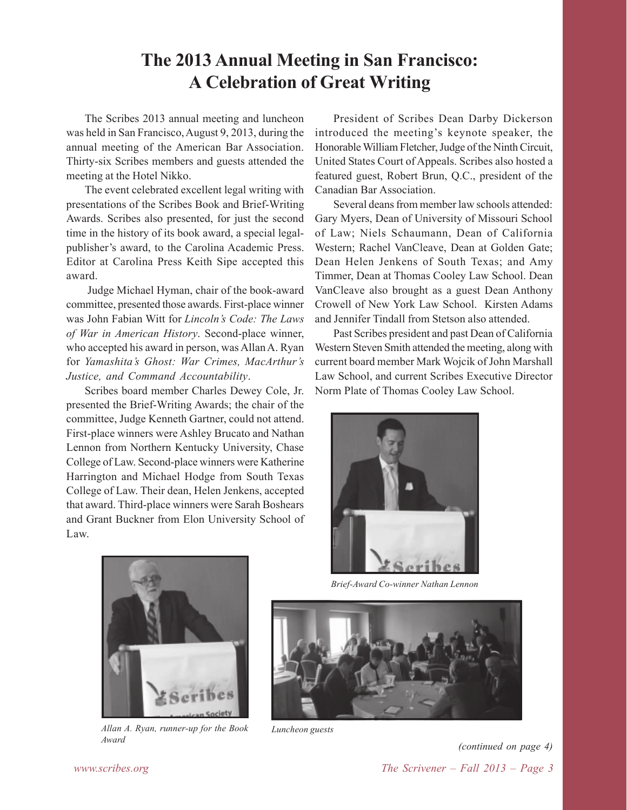# **The 2013 Annual Meeting in San Francisco: A Celebration of Great Writing**

The Scribes 2013 annual meeting and luncheon was held in San Francisco, August 9, 2013, during the annual meeting of the American Bar Association. Thirty-six Scribes members and guests attended the meeting at the Hotel Nikko.

The event celebrated excellent legal writing with presentations of the Scribes Book and Brief-Writing Awards. Scribes also presented, for just the second time in the history of its book award, a special legalpublisher's award, to the Carolina Academic Press. Editor at Carolina Press Keith Sipe accepted this award.

 Judge Michael Hyman, chair of the book-award committee, presented those awards. First-place winner was John Fabian Witt for *Lincoln's Code: The Laws of War in American History*. Second-place winner, who accepted his award in person, was Allan A. Ryan for *Yamashita's Ghost: War Crimes, MacArthur's Justice, and Command Accountability*.

Scribes board member Charles Dewey Cole, Jr. presented the Brief-Writing Awards; the chair of the committee, Judge Kenneth Gartner, could not attend. First-place winners were Ashley Brucato and Nathan Lennon from Northern Kentucky University, Chase College of Law. Second-place winners were Katherine Harrington and Michael Hodge from South Texas College of Law. Their dean, Helen Jenkens, accepted that award. Third-place winners were Sarah Boshears and Grant Buckner from Elon University School of Law.

President of Scribes Dean Darby Dickerson introduced the meeting's keynote speaker, the Honorable William Fletcher, Judge of the Ninth Circuit, United States Court of Appeals. Scribes also hosted a featured guest, Robert Brun, Q.C., president of the Canadian Bar Association.

Several deans from member law schools attended: Gary Myers, Dean of University of Missouri School of Law; Niels Schaumann, Dean of California Western; Rachel VanCleave, Dean at Golden Gate; Dean Helen Jenkens of South Texas; and Amy Timmer, Dean at Thomas Cooley Law School. Dean VanCleave also brought as a guest Dean Anthony Crowell of New York Law School. Kirsten Adams and Jennifer Tindall from Stetson also attended.

Past Scribes president and past Dean of California Western Steven Smith attended the meeting, along with current board member Mark Wojcik of John Marshall Law School, and current Scribes Executive Director Norm Plate of Thomas Cooley Law School.



*Brief-Award Co-winner Nathan Lennon*





*Allan A. Ryan, runner-up for the Book Award*

*Luncheon guests*

*www.scribes.org The Scrivener – Fall 2013 – Page 3 (continued on page 4)*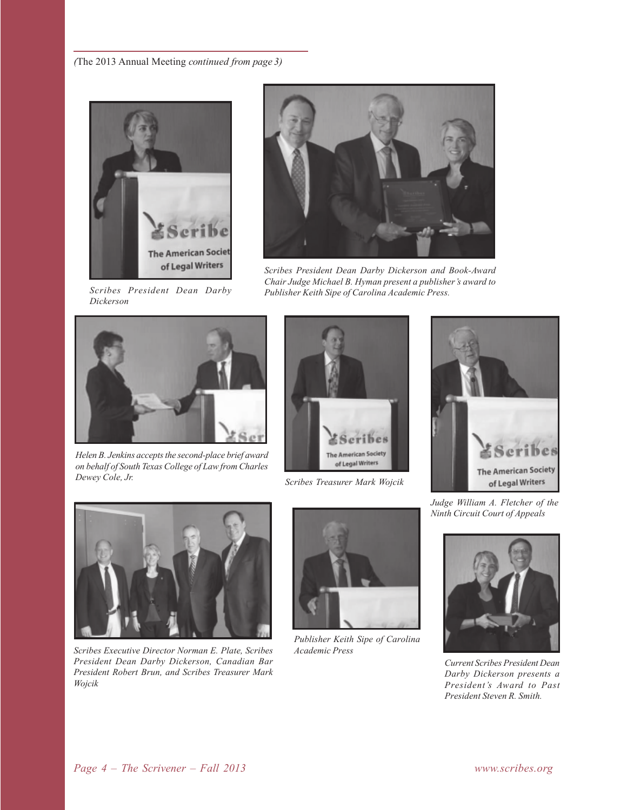

*Scribes President Dean Darby Dickerson*



*Scribes President Dean Darby Dickerson and Book-Award Chair Judge Michael B. Hyman present a publisher's award to Publisher Keith Sipe of Carolina Academic Press.*



*Helen B. Jenkins accepts the second-place brief award on behalf of South Texas College of Law from Charles Dewey Cole, Jr. Scribes Treasurer Mark Wojcik*







*Scribes Executive Director Norman E. Plate, Scribes Academic Press President Dean Darby Dickerson, Canadian Bar President Robert Brun, and Scribes Treasurer Mark Wojcik*



*Publisher Keith Sipe of Carolina*

*Judge William A. Fletcher of the Ninth Circuit Court of Appeals*



*Current Scribes President Dean Darby Dickerson presents a President's Award to Past President Steven R. Smith.*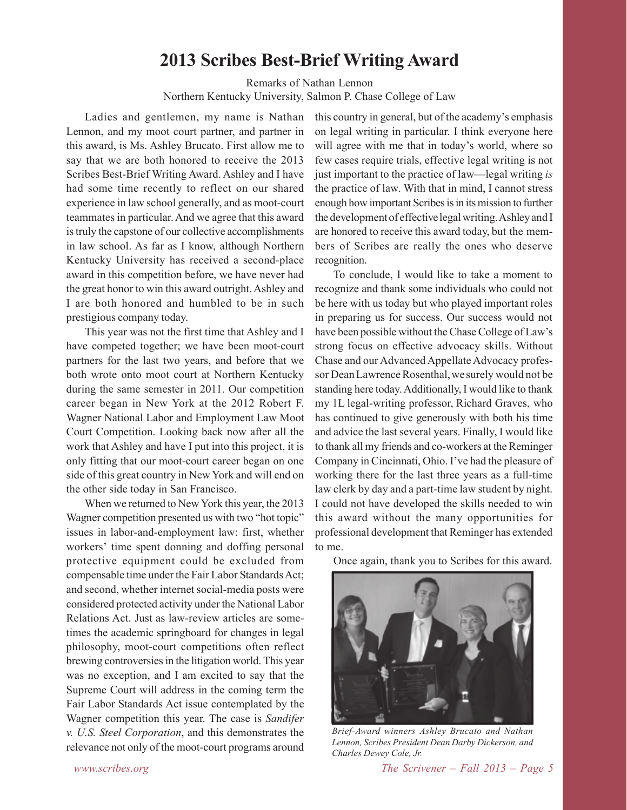### **2013 Scribes Best-Brief Writing Award**

Remarks of Nathan Lennon

Northern Kentucky University, Salmon P. Chase College of Law

Ladies and gentlemen, my name is Nathan Lennon, and my moot court partner, and partner in this award, is Ms. Ashley Brucato. First allow me to say that we are both honored to receive the 2013 Scribes Best-Brief Writing Award. Ashley and I have had some time recently to reflect on our shared experience in law school generally, and as moot-court teammates in particular. And we agree that this award is truly the capstone of our collective accomplishments in law school. As far as I know, although Northern Kentucky University has received a second-place award in this competition before, we have never had the great honor to win this award outright. Ashley and I are both honored and humbled to be in such prestigious company today.

This year was not the first time that Ashley and I have competed together; we have been moot-court partners for the last two years, and before that we both wrote onto moot court at Northern Kentucky during the same semester in 2011. Our competition career began in New York at the 2012 Robert F. Wagner National Labor and Employment Law Moot Court Competition. Looking back now after all the work that Ashley and have I put into this project, it is only fitting that our moot-court career began on one side of this great country in New York and will end on the other side today in San Francisco.

When we returned to New York this year, the 2013 Wagner competition presented us with two "hot topic" issues in labor-and-employment law: first, whether workers' time spent donning and doffing personal protective equipment could be excluded from compensable time under the Fair Labor Standards Act; and second, whether internet social-media posts were considered protected activity under the National Labor Relations Act. Just as law-review articles are sometimes the academic springboard for changes in legal philosophy, moot-court competitions often reflect brewing controversies in the litigation world. This year was no exception, and I am excited to say that the Supreme Court will address in the coming term the Fair Labor Standards Act issue contemplated by the Wagner competition this year. The case is *Sandifer v. U.S. Steel Corporation*, and this demonstrates the relevance not only of the moot-court programs around

this country in general, but of the academy's emphasis on legal writing in particular. I think everyone here will agree with me that in today's world, where so few cases require trials, effective legal writing is not just important to the practice of law—legal writing *is* the practice of law. With that in mind, I cannot stress enough how important Scribes is in its mission to further the development of effective legal writing. Ashley and I are honored to receive this award today, but the members of Scribes are really the ones who deserve recognition.

To conclude, I would like to take a moment to recognize and thank some individuals who could not be here with us today but who played important roles in preparing us for success. Our success would not have been possible without the Chase College of Law's strong focus on effective advocacy skills. Without Chase and our Advanced Appellate Advocacy professor Dean Lawrence Rosenthal, we surely would not be standing here today. Additionally, I would like to thank my 1L legal-writing professor, Richard Graves, who has continued to give generously with both his time and advice the last several years. Finally, I would like to thank all my friends and co-workers at the Reminger Company in Cincinnati, Ohio. I've had the pleasure of working there for the last three years as a full-time law clerk by day and a part-time law student by night. I could not have developed the skills needed to win this award without the many opportunities for professional development that Reminger has extended to me.

Once again, thank you to Scribes for this award.



*Brief-Award winners Ashley Brucato and Nathan Lennon, Scribes President Dean Darby Dickerson, and Charles Dewey Cole, Jr.*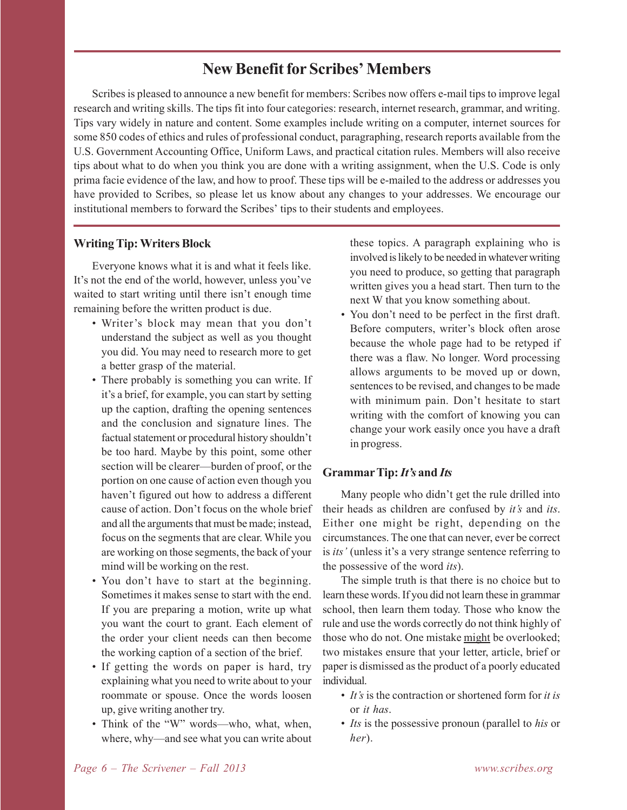### **New Benefit for Scribes' Members**

Scribes is pleased to announce a new benefit for members: Scribes now offers e-mail tips to improve legal research and writing skills. The tips fit into four categories: research, internet research, grammar, and writing. Tips vary widely in nature and content. Some examples include writing on a computer, internet sources for some 850 codes of ethics and rules of professional conduct, paragraphing, research reports available from the U.S. Government Accounting Office, Uniform Laws, and practical citation rules. Members will also receive tips about what to do when you think you are done with a writing assignment, when the U.S. Code is only prima facie evidence of the law, and how to proof. These tips will be e-mailed to the address or addresses you have provided to Scribes, so please let us know about any changes to your addresses. We encourage our institutional members to forward the Scribes' tips to their students and employees.

#### **Writing Tip: Writers Block**

Everyone knows what it is and what it feels like. It's not the end of the world, however, unless you've waited to start writing until there isn't enough time remaining before the written product is due.

- Writer's block may mean that you don't understand the subject as well as you thought you did. You may need to research more to get a better grasp of the material.
- There probably is something you can write. If it's a brief, for example, you can start by setting up the caption, drafting the opening sentences and the conclusion and signature lines. The factual statement or procedural history shouldn't be too hard. Maybe by this point, some other section will be clearer—burden of proof, or the portion on one cause of action even though you haven't figured out how to address a different cause of action. Don't focus on the whole brief and all the arguments that must be made; instead, focus on the segments that are clear. While you are working on those segments, the back of your mind will be working on the rest.
- You don't have to start at the beginning. Sometimes it makes sense to start with the end. If you are preparing a motion, write up what you want the court to grant. Each element of the order your client needs can then become the working caption of a section of the brief.
- If getting the words on paper is hard, try explaining what you need to write about to your roommate or spouse. Once the words loosen up, give writing another try.
- Think of the "W" words—who, what, when, where, why—and see what you can write about

these topics. A paragraph explaining who is involved is likely to be needed in whatever writing you need to produce, so getting that paragraph written gives you a head start. Then turn to the next W that you know something about.

• You don't need to be perfect in the first draft. Before computers, writer's block often arose because the whole page had to be retyped if there was a flaw. No longer. Word processing allows arguments to be moved up or down, sentences to be revised, and changes to be made with minimum pain. Don't hesitate to start writing with the comfort of knowing you can change your work easily once you have a draft in progress.

#### **Grammar Tip:** *It's* **and** *Its*

Many people who didn't get the rule drilled into their heads as children are confused by *it's* and *its*. Either one might be right, depending on the circumstances. The one that can never, ever be correct is *its'* (unless it's a very strange sentence referring to the possessive of the word *its*).

The simple truth is that there is no choice but to learn these words. If you did not learn these in grammar school, then learn them today. Those who know the rule and use the words correctly do not think highly of those who do not. One mistake might be overlooked; two mistakes ensure that your letter, article, brief or paper is dismissed as the product of a poorly educated individual.

- *It's* is the contraction or shortened form for *it is* or *it has*.
- *Its* is the possessive pronoun (parallel to *his* or *her*).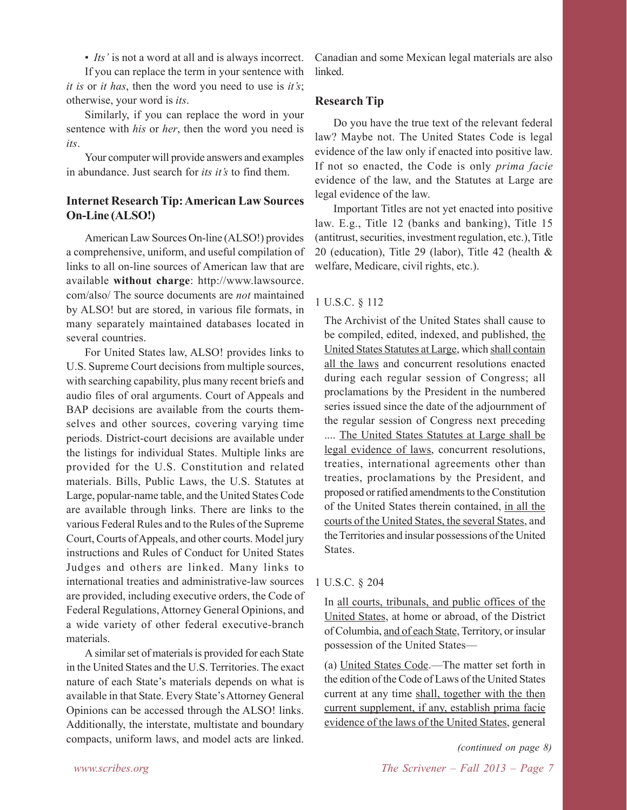• *Its'* is not a word at all and is always incorrect.

If you can replace the term in your sentence with *it is* or *it has*, then the word you need to use is *it's*; otherwise, your word is *its*.

Similarly, if you can replace the word in your sentence with *his* or *her*, then the word you need is *its*.

Your computer will provide answers and examples in abundance. Just search for *its it's* to find them.

#### **Internet Research Tip: American Law Sources On-Line (ALSO!)**

American Law Sources On-line (ALSO!) provides a comprehensive, uniform, and useful compilation of links to all on-line sources of American law that are available **without charge**: http://www.lawsource. com/also/ The source documents are *not* maintained by ALSO! but are stored, in various file formats, in many separately maintained databases located in several countries.

For United States law, ALSO! provides links to U.S. Supreme Court decisions from multiple sources, with searching capability, plus many recent briefs and audio files of oral arguments. Court of Appeals and BAP decisions are available from the courts themselves and other sources, covering varying time periods. District-court decisions are available under the listings for individual States. Multiple links are provided for the U.S. Constitution and related materials. Bills, Public Laws, the U.S. Statutes at Large, popular-name table, and the United States Code are available through links. There are links to the various Federal Rules and to the Rules of the Supreme Court, Courts of Appeals, and other courts. Model jury instructions and Rules of Conduct for United States Judges and others are linked. Many links to international treaties and administrative-law sources are provided, including executive orders, the Code of Federal Regulations, Attorney General Opinions, and a wide variety of other federal executive-branch materials.

A similar set of materials is provided for each State in the United States and the U.S. Territories. The exact nature of each State's materials depends on what is available in that State. Every State's Attorney General Opinions can be accessed through the ALSO! links. Additionally, the interstate, multistate and boundary compacts, uniform laws, and model acts are linked.

Canadian and some Mexican legal materials are also **linked** 

#### **Research Tip**

Do you have the true text of the relevant federal law? Maybe not. The United States Code is legal evidence of the law only if enacted into positive law. If not so enacted, the Code is only *prima facie* evidence of the law, and the Statutes at Large are legal evidence of the law.

Important Titles are not yet enacted into positive law. E.g., Title 12 (banks and banking), Title 15 (antitrust, securities, investment regulation, etc.), Title 20 (education), Title 29 (labor), Title 42 (health & welfare, Medicare, civil rights, etc.).

#### 1 U.S.C. § 112

The Archivist of the United States shall cause to be compiled, edited, indexed, and published, the United States Statutes at Large, which shall contain all the laws and concurrent resolutions enacted during each regular session of Congress; all proclamations by the President in the numbered series issued since the date of the adjournment of the regular session of Congress next preceding .... The United States Statutes at Large shall be legal evidence of laws, concurrent resolutions, treaties, international agreements other than treaties, proclamations by the President, and proposed or ratified amendments to the Constitution of the United States therein contained, in all the courts of the United States, the several States, and the Territories and insular possessions of the United States.

#### 1 U.S.C. § 204

In all courts, tribunals, and public offices of the United States, at home or abroad, of the District of Columbia, and of each State, Territory, or insular possession of the United States—

(a) United States Code.—The matter set forth in the edition of the Code of Laws of the United States current at any time shall, together with the then current supplement, if any, establish prima facie evidence of the laws of the United States, general

*(continued on page 8)*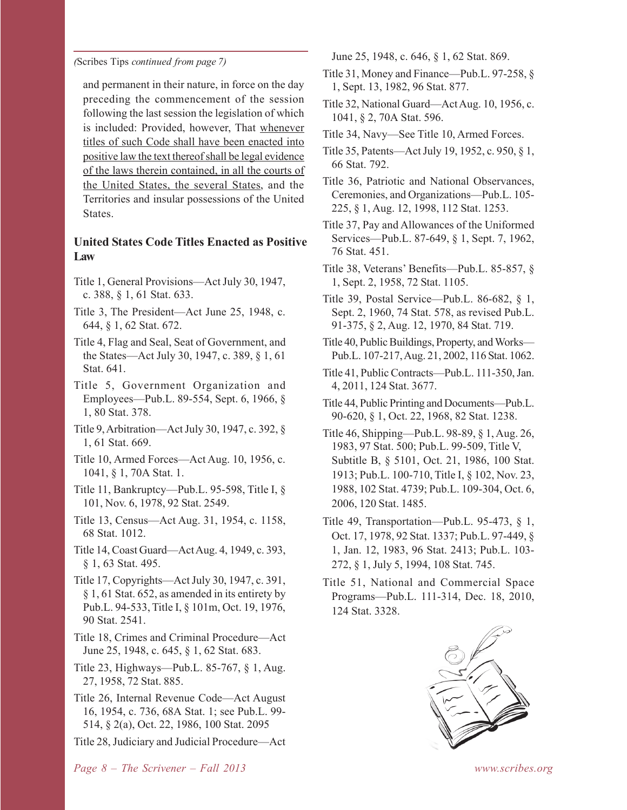*(*Scribes Tips *continued from page 7)*

and permanent in their nature, in force on the day preceding the commencement of the session following the last session the legislation of which is included: Provided, however, That whenever titles of such Code shall have been enacted into positive law the text thereof shall be legal evidence of the laws therein contained, in all the courts of the United States, the several States, and the Territories and insular possessions of the United States.

#### **United States Code Titles Enacted as Positive Law**

- Title 1, General Provisions—Act July 30, 1947, c. 388, § 1, 61 Stat. 633.
- Title 3, The President—Act June 25, 1948, c. 644, § 1, 62 Stat. 672.
- Title 4, Flag and Seal, Seat of Government, and the States—Act July 30, 1947, c. 389, § 1, 61 Stat. 641.
- Title 5, Government Organization and Employees—Pub.L. 89-554, Sept. 6, 1966, § 1, 80 Stat. 378.
- Title 9, Arbitration—Act July 30, 1947, c. 392, § 1, 61 Stat. 669.
- Title 10, Armed Forces—Act Aug. 10, 1956, c. 1041, § 1, 70A Stat. 1.
- Title 11, Bankruptcy—Pub.L. 95-598, Title I, § 101, Nov. 6, 1978, 92 Stat. 2549.
- Title 13, Census—Act Aug. 31, 1954, c. 1158, 68 Stat. 1012.
- Title 14, Coast Guard—Act Aug. 4, 1949, c. 393, § 1, 63 Stat. 495.
- Title 17, Copyrights—Act July 30, 1947, c. 391, § 1, 61 Stat. 652, as amended in its entirety by Pub.L. 94-533, Title I, § 101m, Oct. 19, 1976, 90 Stat. 2541.
- Title 18, Crimes and Criminal Procedure—Act June 25, 1948, c. 645, § 1, 62 Stat. 683.
- Title 23, Highways—Pub.L. 85-767, § 1, Aug. 27, 1958, 72 Stat. 885.
- Title 26, Internal Revenue Code—Act August 16, 1954, c. 736, 68A Stat. 1; see Pub.L. 99- 514, § 2(a), Oct. 22, 1986, 100 Stat. 2095
- Title 28, Judiciary and Judicial Procedure—Act

June 25, 1948, c. 646, § 1, 62 Stat. 869.

- Title 31, Money and Finance—Pub.L. 97-258, § 1, Sept. 13, 1982, 96 Stat. 877.
- Title 32, National Guard—Act Aug. 10, 1956, c. 1041, § 2, 70A Stat. 596.
- Title 34, Navy—See Title 10, Armed Forces.
- Title 35, Patents—Act July 19, 1952, c. 950, § 1, 66 Stat. 792.
- Title 36, Patriotic and National Observances, Ceremonies, and Organizations—Pub.L. 105- 225, § 1, Aug. 12, 1998, 112 Stat. 1253.
- Title 37, Pay and Allowances of the Uniformed Services—Pub.L. 87-649, § 1, Sept. 7, 1962, 76 Stat. 451.
- Title 38, Veterans' Benefits—Pub.L. 85-857, § 1, Sept. 2, 1958, 72 Stat. 1105.
- Title 39, Postal Service—Pub.L. 86-682, § 1, Sept. 2, 1960, 74 Stat. 578, as revised Pub.L. 91-375, § 2, Aug. 12, 1970, 84 Stat. 719.
- Title 40, Public Buildings, Property, and Works— Pub.L. 107-217, Aug. 21, 2002, 116 Stat. 1062.
- Title 41, Public Contracts—Pub.L. 111-350, Jan. 4, 2011, 124 Stat. 3677.
- Title 44, Public Printing and Documents—Pub.L. 90-620, § 1, Oct. 22, 1968, 82 Stat. 1238.
- Title 46, Shipping—Pub.L. 98-89, § 1, Aug. 26, 1983, 97 Stat. 500; Pub.L. 99-509, Title V, Subtitle B, § 5101, Oct. 21, 1986, 100 Stat. 1913; Pub.L. 100-710, Title I, § 102, Nov. 23, 1988, 102 Stat. 4739; Pub.L. 109-304, Oct. 6, 2006, 120 Stat. 1485.
- Title 49, Transportation—Pub.L. 95-473, § 1, Oct. 17, 1978, 92 Stat. 1337; Pub.L. 97-449, § 1, Jan. 12, 1983, 96 Stat. 2413; Pub.L. 103- 272, § 1, July 5, 1994, 108 Stat. 745.
- Title 51, National and Commercial Space Programs—Pub.L. 111-314, Dec. 18, 2010, 124 Stat. 3328.

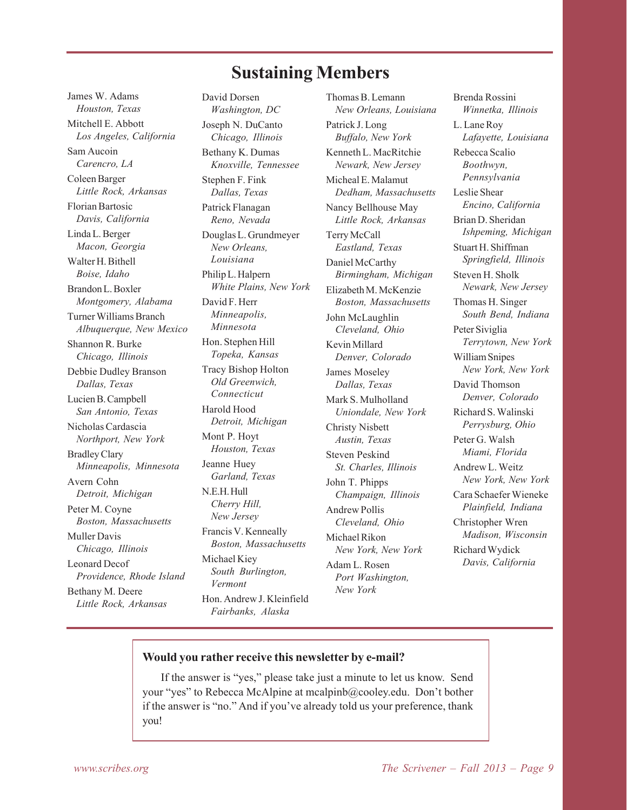## **Sustaining Members**

James W. Adams *Houston, Texas* Mitchell E. Abbott *Los Angeles, California* Sam Aucoin *Carencro, LA* Coleen Barger *Little Rock, Arkansas* Florian Bartosic *Davis, California* Linda L. Berger *Macon, Georgia* Walter H. Bithell *Boise, Idaho* Brandon L. Boxler *Montgomery, Alabama* Turner Williams Branch *Albuquerque, New Mexico* Shannon R. Burke *Chicago, Illinois* Debbie Dudley Branson *Dallas, Texas* Lucien B. Campbell *San Antonio, Texas* Nicholas Cardascia *Northport, New York* Bradley Clary *Minneapolis, Minnesota* Avern Cohn *Detroit, Michigan* Peter M. Coyne *Boston, Massachusetts* Muller Davis *Chicago, Illinois* Leonard Decof *Providence, Rhode Island* Bethany M. Deere *Little Rock, Arkansas*

David Dorsen *Washington, DC* Joseph N. DuCanto *Chicago, Illinois* Bethany K. Dumas *Knoxville, Tennessee* Stephen F. Fink *Dallas, Texas* Patrick Flanagan *Reno, Nevada* Douglas L. Grundmeyer *New Orleans, Louisiana* Philip L. Halpern *White Plains, New York* David F. Herr *Minneapolis, Minnesota* Hon. Stephen Hill *Topeka, Kansas* Tracy Bishop Holton *Old Greenwich, Connecticut* Harold Hood *Detroit, Michigan* Mont P. Hoyt *Houston, Texas* Jeanne Huey *Garland, Texas* N.E.H. Hull *Cherry Hill, New Jersey* Francis V. Kenneally *Boston, Massachusetts* Michael Kiey *South Burlington, Vermont* Hon. Andrew J. Kleinfield *Fairbanks, Alaska*

Thomas B. Lemann *New Orleans, Louisiana* Patrick J. Long *Buffalo, New York* Kenneth L. MacRitchie *Newark, New Jersey* Micheal E. Malamut *Dedham, Massachusetts* Nancy Bellhouse May *Little Rock, Arkansas* Terry McCall *Eastland, Texas* Daniel McCarthy *Birmingham, Michigan* Elizabeth M. McKenzie *Boston, Massachusetts* John McLaughlin *Cleveland, Ohio* Kevin Millard *Denver, Colorado* James Moseley *Dallas, Texas* Mark S. Mulholland *Uniondale, New York* Christy Nisbett *Austin, Texas* Steven Peskind *St. Charles, Illinois* John T. Phipps *Champaign, Illinois* Andrew Pollis *Cleveland, Ohio* Michael Rikon *New York, New York* Adam L. Rosen *Port Washington, New York*

Brenda Rossini *Winnetka, Illinois* L. Lane Roy *Lafayette, Louisiana* Rebecca Scalio *Boothwyn, Pennsylvania* Leslie Shear *Encino, California* Brian D. Sheridan *Ishpeming, Michigan* Stuart H. Shiffman *Springfield, Illinois* Steven H. Sholk *Newark, New Jersey* Thomas H. Singer *South Bend, Indiana* Peter Siviglia *Terrytown, New York* William Snipes *New York, New York* David Thomson *Denver, Colorado* Richard S. Walinski *Perrysburg, Ohio* Peter G. Walsh *Miami, Florida* Andrew L. Weitz *New York, New York* Cara Schaefer Wieneke *Plainfield, Indiana* Christopher Wren *Madison, Wisconsin* Richard Wydick *Davis, California*

#### **Would you rather receive this newsletter by e-mail?**

If the answer is "yes," please take just a minute to let us know. Send your "yes" to Rebecca McAlpine at mcalpinb@cooley.edu. Don't bother if the answer is "no." And if you've already told us your preference, thank you!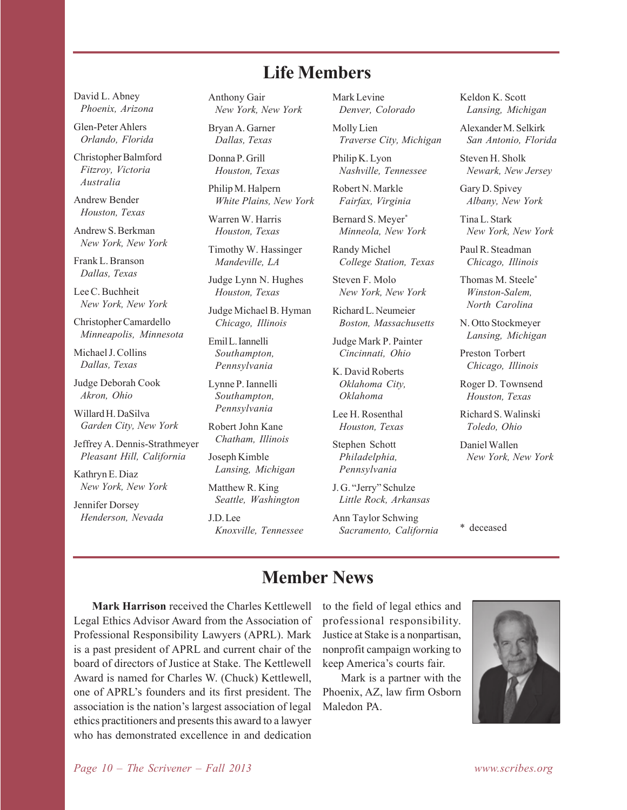## **Life Members**

David L. Abney *Phoenix, Arizona*

Glen-Peter Ahlers *Orlando, Florida*

Christopher Balmford *Fitzroy, Victoria Australia*

Andrew Bender *Houston, Texas*

Andrew S. Berkman *New York, New York*

Frank L. Branson *Dallas, Texas*

Lee C. Buchheit *New York, New York*

Christopher Camardello *Minneapolis, Minnesota*

Michael J. Collins *Dallas, Texas*

Judge Deborah Cook *Akron, Ohio*

Willard H. DaSilva *Garden City, New York*

Jeffrey A. Dennis-Strathmeyer *Pleasant Hill, California*

Kathryn E. Diaz *New York, New York*

Jennifer Dorsey *Henderson, Nevada* Anthony Gair *New York, New York*

Bryan A. Garner *Dallas, Texas*

Donna P. Grill *Houston, Texas*

Philip M. Halpern *White Plains, New York*

Warren W. Harris *Houston, Texas*

Timothy W. Hassinger *Mandeville, LA*

Judge Lynn N. Hughes *Houston, Texas*

Judge Michael B. Hyman *Chicago, Illinois*

Emil L. Iannelli *Southampton, Pennsylvania*

Lynne P. Iannelli *Southampton, Pennsylvania*

Robert John Kane *Chatham, Illinois*

Joseph Kimble *Lansing, Michigan*

Matthew R. King *Seattle, Washington*

J.D. Lee *Knoxville, Tennessee* Mark Levine *Denver, Colorado*

Molly Lien *Traverse City, Michigan*

Philip K. Lyon *Nashville, Tennessee*

Robert N. Markle *Fairfax, Virginia*

Bernard S. Meyer\* *Minneola, New York*

Randy Michel *College Station, Texas*

Steven F. Molo *New York, New York*

Richard L. Neumeier *Boston, Massachusetts*

Judge Mark P. Painter *Cincinnati, Ohio*

K. David Roberts *Oklahoma City, Oklahoma*

Lee H. Rosenthal *Houston, Texas*

Stephen Schott *Philadelphia, Pennsylvania*

J. G. "Jerry" Schulze *Little Rock, Arkansas*

Ann Taylor Schwing *Sacramento, California* Keldon K. Scott *Lansing, Michigan*

Alexander M. Selkirk *San Antonio, Florida*

Steven H. Sholk *Newark, New Jersey*

Gary D. Spivey *Albany, New York*

Tina L. Stark *New York, New York*

Paul R. Steadman *Chicago, Illinois*

Thomas M. Steele\* *Winston-Salem, North Carolina*

N. Otto Stockmeyer *Lansing, Michigan*

Preston Torbert *Chicago, Illinois*

Roger D. Townsend *Houston, Texas*

Richard S. Walinski *Toledo, Ohio*

Daniel Wallen *New York, New York*

\* deceased

## **Member News**

**Mark Harrison** received the Charles Kettlewell Legal Ethics Advisor Award from the Association of Professional Responsibility Lawyers (APRL). Mark is a past president of APRL and current chair of the board of directors of Justice at Stake. The Kettlewell Award is named for Charles W. (Chuck) Kettlewell, one of APRL's founders and its first president. The association is the nation's largest association of legal ethics practitioners and presents this award to a lawyer who has demonstrated excellence in and dedication

to the field of legal ethics and professional responsibility. Justice at Stake is a nonpartisan, nonprofit campaign working to keep America's courts fair.

Mark is a partner with the Phoenix, AZ, law firm Osborn Maledon PA.

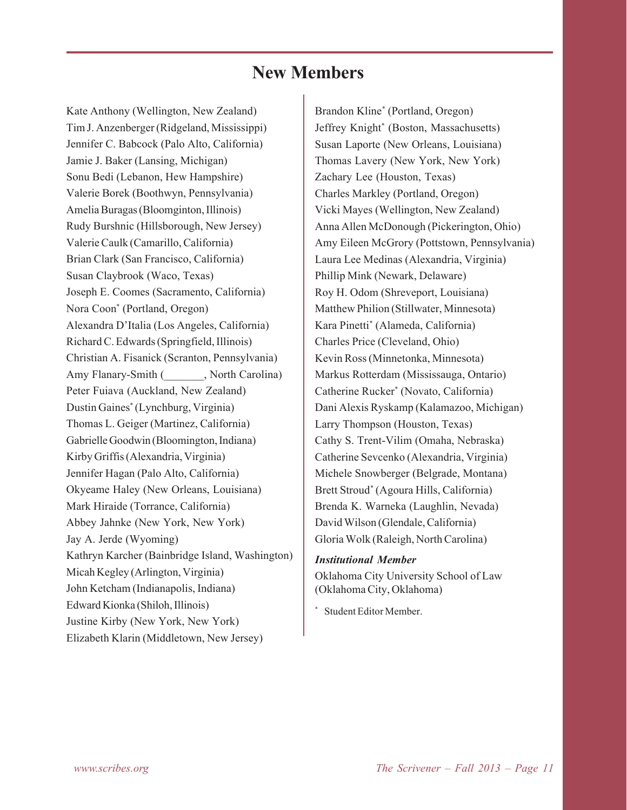# **New Members**

Kate Anthony (Wellington, New Zealand) Tim J. Anzenberger (Ridgeland, Mississippi) Jennifer C. Babcock (Palo Alto, California) Jamie J. Baker (Lansing, Michigan) Sonu Bedi (Lebanon, Hew Hampshire) Valerie Borek (Boothwyn, Pennsylvania) Amelia Buragas (Bloomginton, Illinois) Rudy Burshnic (Hillsborough, New Jersey) Valerie Caulk (Camarillo, California) Brian Clark (San Francisco, California) Susan Claybrook (Waco, Texas) Joseph E. Coomes (Sacramento, California) Nora Coon\* (Portland, Oregon) Alexandra D'Italia (Los Angeles, California) Richard C. Edwards (Springfield, Illinois) Christian A. Fisanick (Scranton, Pennsylvania) Amy Flanary-Smith ( \_\_\_\_\_\_, North Carolina) Peter Fuiava (Auckland, New Zealand) Dustin Gaines\* (Lynchburg, Virginia) Thomas L. Geiger (Martinez, California) Gabrielle Goodwin (Bloomington, Indiana) Kirby Griffis (Alexandria, Virginia) Jennifer Hagan (Palo Alto, California) Okyeame Haley (New Orleans, Louisiana) Mark Hiraide (Torrance, California) Abbey Jahnke (New York, New York) Jay A. Jerde (Wyoming) Kathryn Karcher (Bainbridge Island, Washington) Micah Kegley (Arlington, Virginia) John Ketcham (Indianapolis, Indiana) Edward Kionka (Shiloh, Illinois) Justine Kirby (New York, New York) Elizabeth Klarin (Middletown, New Jersey)

Brandon Kline\* (Portland, Oregon) Jeffrey Knight\* (Boston, Massachusetts) Susan Laporte (New Orleans, Louisiana) Thomas Lavery (New York, New York) Zachary Lee (Houston, Texas) Charles Markley (Portland, Oregon) Vicki Mayes (Wellington, New Zealand) Anna Allen McDonough (Pickerington, Ohio) Amy Eileen McGrory (Pottstown, Pennsylvania) Laura Lee Medinas (Alexandria, Virginia) Phillip Mink (Newark, Delaware) Roy H. Odom (Shreveport, Louisiana) Matthew Philion (Stillwater, Minnesota) Kara Pinetti\* (Alameda, California) Charles Price (Cleveland, Ohio) Kevin Ross (Minnetonka, Minnesota) Markus Rotterdam (Mississauga, Ontario) Catherine Rucker\* (Novato, California) Dani Alexis Ryskamp (Kalamazoo, Michigan) Larry Thompson (Houston, Texas) Cathy S. Trent-Vilim (Omaha, Nebraska) Catherine Sevcenko (Alexandria, Virginia) Michele Snowberger (Belgrade, Montana) Brett Stroud\* (Agoura Hills, California) Brenda K. Warneka (Laughlin, Nevada) David Wilson (Glendale, California) Gloria Wolk (Raleigh, North Carolina)

#### *Institutional Member*

Oklahoma City University School of Law (Oklahoma City, Oklahoma)

\* Student Editor Member.